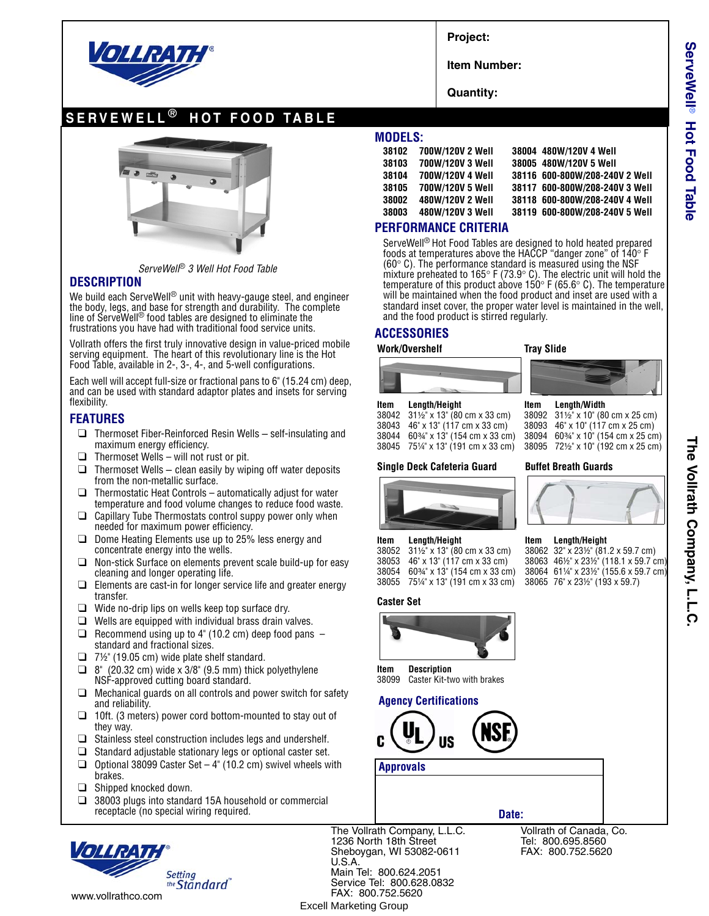

**Project:**

**Item Number:**

**Quantity:**

# **SERVEWELL ® HOT FOOD TABLE**



*ServeWell*® *3 Well Hot Food Table*

#### **DESCRIPTION**

We build each ServeWell<sup>®</sup> unit with heavy-gauge steel, and engineer the body, legs, and base for strength and durability. The complete line of ServeWell® food tables are designed to eliminate the frustrations you have had with traditional food service units.

Vollrath offers the first truly innovative design in value-priced mobile serving equipment. The heart of this revolutionary line is the Hot Food Table, available in 2-, 3-, 4-, and 5-well configurations.

Each well will accept full-size or fractional pans to 6" (15.24 cm) deep, and can be used with standard adaptor plates and insets for serving flexibility.

#### **FEATURES**

- ❑ Thermoset Fiber-Reinforced Resin Wells self-insulating and maximum energy efficiency.
- $\Box$  Thermoset Wells will not rust or pit.
- $\Box$  Thermoset Wells clean easily by wiping off water deposits from the non-metallic surface.
- $\Box$  Thermostatic Heat Controls automatically adjust for water temperature and food volume changes to reduce food waste.
- ❑ Capillary Tube Thermostats control suppy power only when needed for maximum power efficiency.
- ❑ Dome Heating Elements use up to 25% less energy and concentrate energy into the wells.
- ❑ Non-stick Surface on elements prevent scale build-up for easy cleaning and longer operating life.
- ❑ Elements are cast-in for longer service life and greater energy transfer.
- ❑ Wide no-drip lips on wells keep top surface dry.
- $\Box$  Wells are equipped with individual brass drain valves.
- $\Box$  Recommend using up to 4" (10.2 cm) deep food pans  $$ standard and fractional sizes.
- ❑ 7½" (19.05 cm) wide plate shelf standard.
- $\Box$  8" (20.32 cm) wide x 3/8" (9.5 mm) thick polyethylene NSF-approved cutting board standard.
- ❑ Mechanical guards on all controls and power switch for safety and reliability.
- ❑ 10ft. (3 meters) power cord bottom-mounted to stay out of they way.
- ❑ Stainless steel construction includes legs and undershelf.
- ❑ Standard adjustable stationary legs or optional caster set.
- $\Box$  Optional 38099 Caster Set 4" (10.2 cm) swivel wheels with brakes.
- ❑ Shipped knocked down.
- ❑ 38003 plugs into standard 15A household or commercial receptacle (no special wiring required.



The Vollrath Company, L.L.C. 1236 North 18th Street Sheboygan, WI 53082-0611 U.S.A. Main Tel: 800.624.2051 Service Tel: 800.628.0832 FAX: 800.752.5620 Excell Marketing Group

**Date:**

Vollrath of Canada, Co. Tel: 800.695.8560 FAX: 800.752.5620

### **MODELS:**

| 38102 | 700W/120V 2 Well | 38004 480W/120V 4 Well         |
|-------|------------------|--------------------------------|
| 38103 | 700W/120V 3 Well | 38005 480W/120V 5 Well         |
| 38104 | 700W/120V 4 Well | 38116 600-800W/208-240V 2 Well |
| 38105 | 700W/120V 5 Well | 38117 600-800W/208-240V 3 Well |
| 38002 | 480W/120V 2 Well | 38118 600-800W/208-240V 4 Well |
| 38003 | 480W/120V 3 Well | 38119 600-800W/208-240V 5 Well |
|       |                  |                                |

#### **PERFORMANCE CRITERIA**

ServeWell® Hot Food Tables are designed to hold heated prepared foods at temperatures above the HACCP "danger zone" of 140° F ( $60^{\circ}$  C). The performance standard is measured using the NSF mixture preheated to 165° F (73.9° C). The electric unit will hold the temperature of this product above 150° F (65.6° C). The temperature will be maintained when the food product and inset are used with a standard inset cover, the proper water level is maintained in the well, and the food product is stirred regularly.

#### **ACCESSORIES**

Work/Overshelf Tray Slide



38095 721/<sub>2</sub>" x 10" (192 cm x 25 cm)

**Item Length/Height Item Length/Width 18042 311/2" x 13" (80 cm x 33 cm) 38092 311/2" x 10" (80** 38042 31½" x 13" (80 cm x 33 cm) 38092 31½" x 10" (80 cm x 25 cm) 38043 46" x 13" (117 cm x 33 cm) 38093 46" x 10" (117 cm x 25 cm)  $38044$  60¾" x 13" (154 cm x 33 cm)<br> $38045$  75¼" x 13" (191 cm x 33 cm)

#### **Single Deck Cafeteria Guard Buffet Breath Guards**



**Item Length/Height Item Length/Height** 38052 31½" x 13" (80 cm x 33 cm) 38062 32" x 23½" (81.2 x 59.7 cm) 38053 46" x 13" (117 cm x 33 cm) 38063 46½" x 23½" (118.1 x 59.7 cm) 38054 60¾" x 13" (154 cm x 33 cm) 38064 61¼" x 23½" (155.6 x 59.7 cm)

#### **Caster Set**



**Item Description** 38099 Caster Kit-two with brakes

#### **Agency Certifications**



**ServeWell**

ServeWell<sup>®</sup> Hot Food Table

 **Hot Food Table**

38065 76" x 23½" (193 x 59.7)